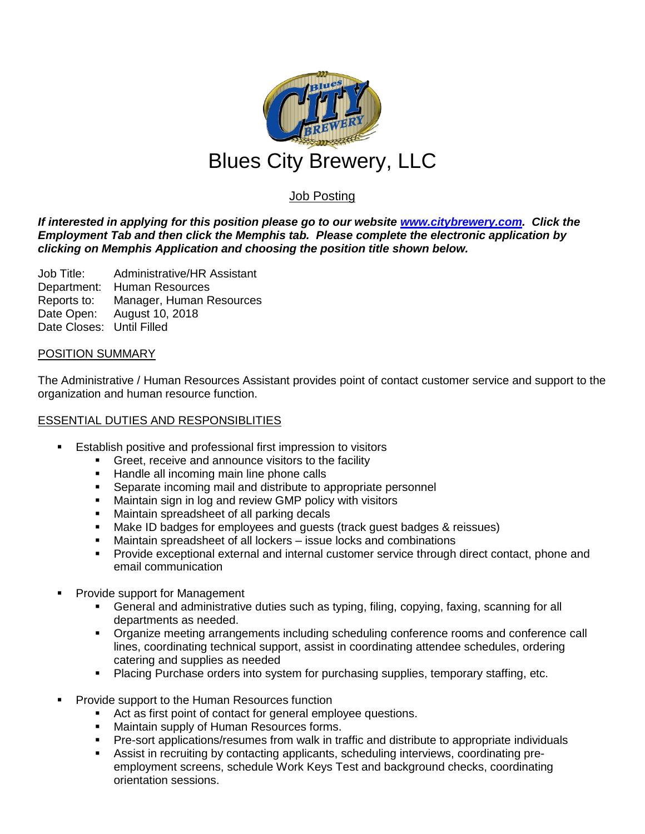

# Job Posting

*If interested in applying for this position please go to our website [www.citybrewery.com.](http://www.citybrewery.com/) Click the Employment Tab and then click the Memphis tab. Please complete the electronic application by clicking on Memphis Application and choosing the position title shown below.*

Job Title: Administrative/HR Assistant Department: Human Resources Reports to: Manager, Human Resources Date Open: August 10, 2018 Date Closes: Until Filled

## POSITION SUMMARY

The Administrative / Human Resources Assistant provides point of contact customer service and support to the organization and human resource function.

## ESSENTIAL DUTIES AND RESPONSIBLITIES

- **E** Establish positive and professional first impression to visitors
	- Greet, receive and announce visitors to the facility
	- **Handle all incoming main line phone calls**
	- **Separate incoming mail and distribute to appropriate personnel**
	- **Kaintain sign in log and review GMP policy with visitors**
	- Maintain spreadsheet of all parking decals
	- Make ID badges for employees and guests (track guest badges & reissues)
	- Maintain spreadsheet of all lockers issue locks and combinations
	- Provide exceptional external and internal customer service through direct contact, phone and email communication
- Provide support for Management
	- General and administrative duties such as typing, filing, copying, faxing, scanning for all departments as needed.
	- Organize meeting arrangements including scheduling conference rooms and conference call lines, coordinating technical support, assist in coordinating attendee schedules, ordering catering and supplies as needed
	- Placing Purchase orders into system for purchasing supplies, temporary staffing, etc.
- Provide support to the Human Resources function
	- Act as first point of contact for general employee questions.
	- **Maintain supply of Human Resources forms.**
	- Pre-sort applications/resumes from walk in traffic and distribute to appropriate individuals
	- Assist in recruiting by contacting applicants, scheduling interviews, coordinating preemployment screens, schedule Work Keys Test and background checks, coordinating orientation sessions.